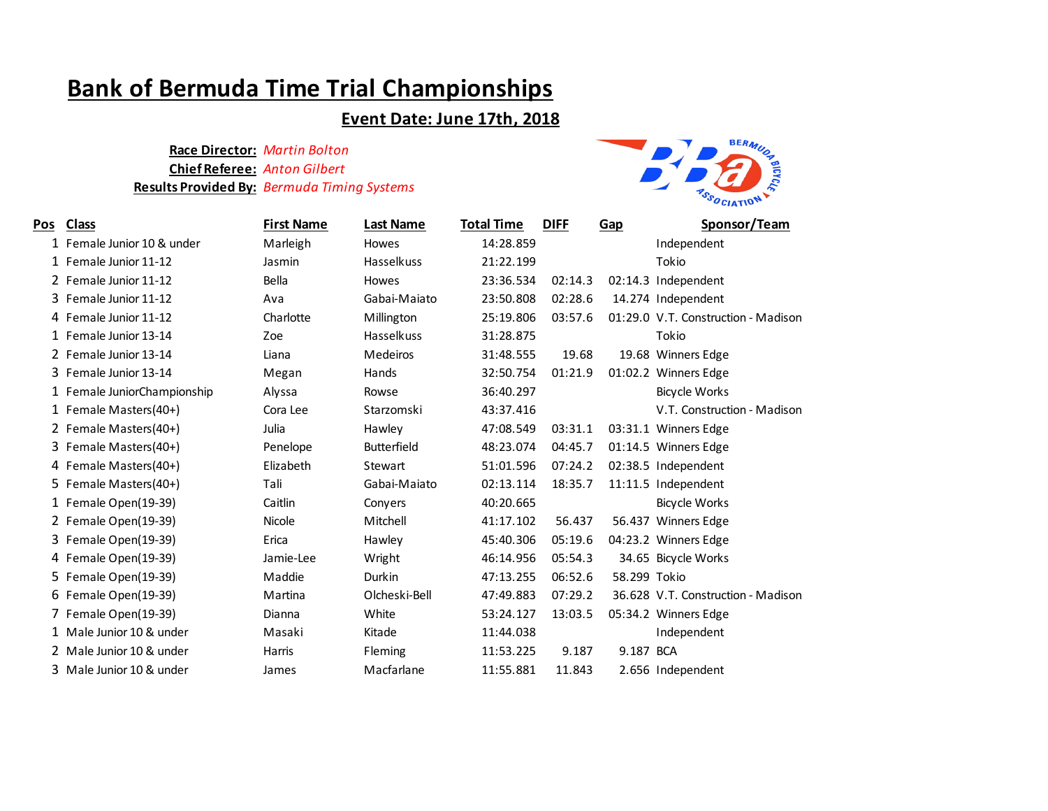# **Bank of Bermuda Time Trial Championships**

## **Event Date: June 17th, 2018**

### **Race Director:** *Martin Bolton* **Chief Referee:** *Anton Gilbert* **Results Provided By:** *Bermuda Timing Systems*



| <u>Pos</u> | <b>Class</b>                | <b>First Name</b> | <b>Last Name</b>   | <b>Total Time</b> | <b>DIFF</b> | <b>Gap</b>   | Sponsor/Team                        |
|------------|-----------------------------|-------------------|--------------------|-------------------|-------------|--------------|-------------------------------------|
|            | 1 Female Junior 10 & under  | Marleigh          | Howes              | 14:28.859         |             |              | Independent                         |
|            | 1 Female Junior 11-12       | Jasmin            | Hasselkuss         | 21:22.199         |             |              | Tokio                               |
|            | 2 Female Junior 11-12       | Bella             | <b>Howes</b>       | 23:36.534         | 02:14.3     |              | 02:14.3 Independent                 |
|            | 3 Female Junior 11-12       | Ava               | Gabai-Maiato       | 23:50.808         | 02:28.6     |              | 14.274 Independent                  |
|            | 4 Female Junior 11-12       | Charlotte         | Millington         | 25:19.806         | 03:57.6     |              | 01:29.0 V.T. Construction - Madison |
|            | 1 Female Junior 13-14       | Zoe               | <b>Hasselkuss</b>  | 31:28.875         |             |              | Tokio                               |
|            | 2 Female Junior 13-14       | Liana             | Medeiros           | 31:48.555         | 19.68       |              | 19.68 Winners Edge                  |
|            | 3 Female Junior 13-14       | Megan             | Hands              | 32:50.754         | 01:21.9     |              | 01:02.2 Winners Edge                |
|            | 1 Female JuniorChampionship | Alyssa            | Rowse              | 36:40.297         |             |              | <b>Bicycle Works</b>                |
|            | 1 Female Masters(40+)       | Cora Lee          | Starzomski         | 43:37.416         |             |              | V.T. Construction - Madison         |
|            | 2 Female Masters(40+)       | Julia             | Hawley             | 47:08.549         | 03:31.1     |              | 03:31.1 Winners Edge                |
|            | 3 Female Masters(40+)       | Penelope          | <b>Butterfield</b> | 48:23.074         | 04:45.7     |              | 01:14.5 Winners Edge                |
|            | 4 Female Masters(40+)       | Elizabeth         | Stewart            | 51:01.596         | 07:24.2     |              | 02:38.5 Independent                 |
|            | 5 Female Masters(40+)       | Tali              | Gabai-Maiato       | 02:13.114         | 18:35.7     |              | 11:11.5 Independent                 |
|            | 1 Female Open(19-39)        | Caitlin           | Conyers            | 40:20.665         |             |              | <b>Bicycle Works</b>                |
|            | 2 Female Open(19-39)        | Nicole            | Mitchell           | 41:17.102         | 56.437      |              | 56.437 Winners Edge                 |
|            | 3 Female Open(19-39)        | Erica             | Hawley             | 45:40.306         | 05:19.6     |              | 04:23.2 Winners Edge                |
|            | 4 Female Open(19-39)        | Jamie-Lee         | Wright             | 46:14.956         | 05:54.3     |              | 34.65 Bicycle Works                 |
|            | 5 Female Open(19-39)        | Maddie            | Durkin             | 47:13.255         | 06:52.6     | 58.299 Tokio |                                     |
|            | 6 Female Open(19-39)        | Martina           | Olcheski-Bell      | 47:49.883         | 07:29.2     |              | 36.628 V.T. Construction - Madison  |
|            | 7 Female Open(19-39)        | Dianna            | White              | 53:24.127         | 13:03.5     |              | 05:34.2 Winners Edge                |
|            | 1 Male Junior 10 & under    | Masaki            | Kitade             | 11:44.038         |             |              | Independent                         |
|            | 2 Male Junior 10 & under    | Harris            | Fleming            | 11:53.225         | 9.187       | 9.187        | <b>BCA</b>                          |
| 3          | Male Junior 10 & under      | James             | Macfarlane         | 11:55.881         | 11.843      |              | 2.656 Independent                   |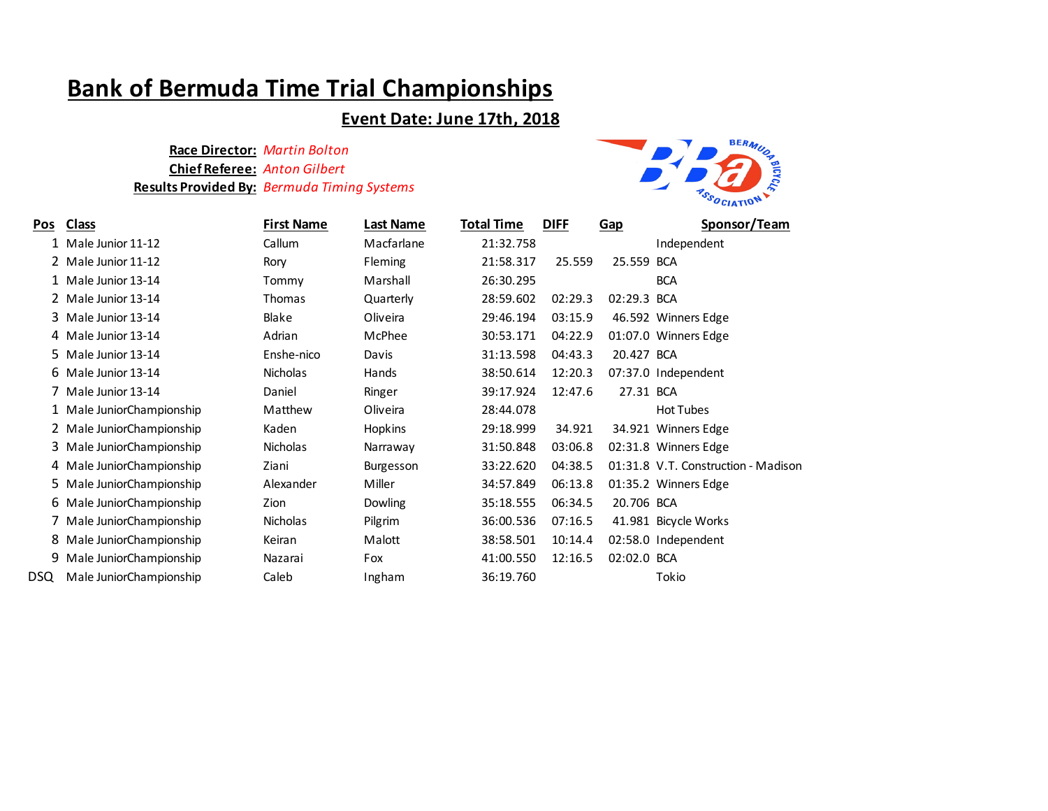# **Bank of Bermuda Time Trial Championships**

### **Event Date: June 17th, 2018**

### **Race Director:** *Martin Bolton* **Chief Referee:** *Anton Gilbert* **Results Provided By:** *Bermuda Timing Systems*



| Pos  | <b>Class</b>              | <b>First Name</b> | <b>Last Name</b> | <b>Total Time</b> | <b>DIFF</b> | Gap         | Sponsor/Team                        |
|------|---------------------------|-------------------|------------------|-------------------|-------------|-------------|-------------------------------------|
|      | Male Junior 11-12         | Callum            | Macfarlane       | 21:32.758         |             |             | Independent                         |
|      | 2 Male Junior 11-12       | Rory              | <b>Fleming</b>   | 21:58.317         | 25.559      | 25.559      | <b>BCA</b>                          |
|      | 1 Male Junior 13-14       | Tommy             | Marshall         | 26:30.295         |             |             | <b>BCA</b>                          |
|      | 2 Male Junior 13-14       | <b>Thomas</b>     | Quarterly        | 28:59.602         | 02:29.3     | 02:29.3     | <b>BCA</b>                          |
| 3.   | Male Junior 13-14         | Blake             | Oliveira         | 29:46.194         | 03:15.9     |             | 46.592 Winners Edge                 |
|      | 4 Male Junior 13-14       | Adrian            | McPhee           | 30:53.171         | 04:22.9     |             | 01:07.0 Winners Edge                |
|      | 5 Male Junior 13-14       | Enshe-nico        | Davis            | 31:13.598         | 04:43.3     | 20.427 BCA  |                                     |
|      | 6 Male Junior 13-14       | <b>Nicholas</b>   | Hands            | 38:50.614         | 12:20.3     |             | 07:37.0 Independent                 |
|      | Male Junior 13-14         | Daniel            | Ringer           | 39:17.924         | 12:47.6     | 27.31 BCA   |                                     |
|      | 1 Male JuniorChampionship | Matthew           | Oliveira         | 28:44.078         |             |             | <b>Hot Tubes</b>                    |
|      | 2 Male JuniorChampionship | Kaden             | <b>Hopkins</b>   | 29:18.999         | 34.921      |             | 34.921 Winners Edge                 |
|      | 3 Male JuniorChampionship | <b>Nicholas</b>   | Narraway         | 31:50.848         | 03:06.8     |             | 02:31.8 Winners Edge                |
|      | 4 Male JuniorChampionship | Ziani             | <b>Burgesson</b> | 33:22.620         | 04:38.5     |             | 01:31.8 V.T. Construction - Madison |
|      | 5 Male JuniorChampionship | Alexander         | Miller           | 34:57.849         | 06:13.8     |             | 01:35.2 Winners Edge                |
|      | 6 Male JuniorChampionship | Zion              | <b>Dowling</b>   | 35:18.555         | 06:34.5     | 20.706 BCA  |                                     |
|      | Male JuniorChampionship   | <b>Nicholas</b>   | Pilgrim          | 36:00.536         | 07:16.5     |             | 41.981 Bicycle Works                |
|      | 8 Male JuniorChampionship | Keiran            | Malott           | 38:58.501         | 10:14.4     |             | 02:58.0 Independent                 |
| 9    | Male JuniorChampionship   | Nazarai           | Fox              | 41:00.550         | 12:16.5     | 02:02.0 BCA |                                     |
| DSQ. | Male JuniorChampionship   | Caleb             | Ingham           | 36:19.760         |             |             | Tokio                               |